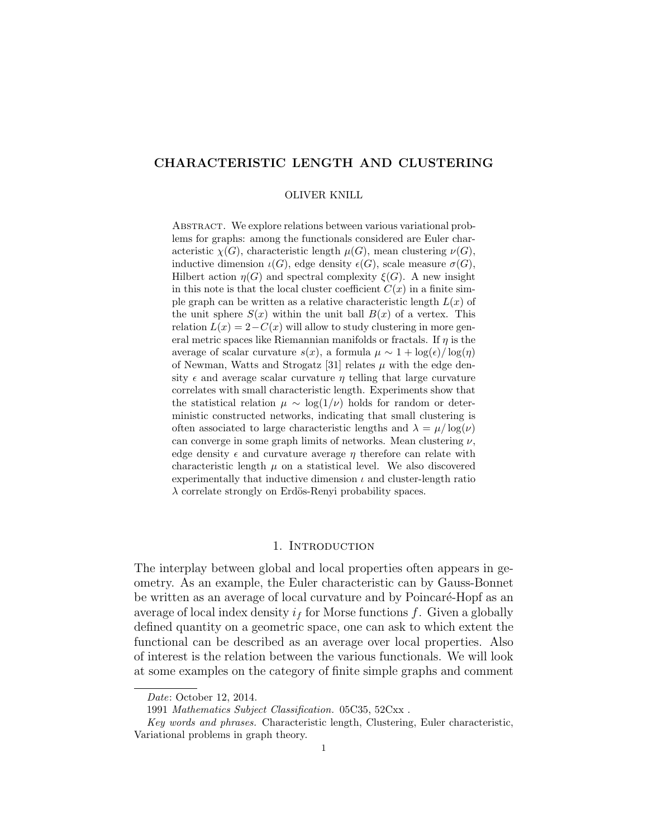# CHARACTERISTIC LENGTH AND CLUSTERING

#### OLIVER KNILL

ABSTRACT. We explore relations between various variational problems for graphs: among the functionals considered are Euler characteristic  $\chi(G)$ , characteristic length  $\mu(G)$ , mean clustering  $\nu(G)$ , inductive dimension  $\iota(G)$ , edge density  $\epsilon(G)$ , scale measure  $\sigma(G)$ , Hilbert action  $\eta(G)$  and spectral complexity  $\xi(G)$ . A new insight in this note is that the local cluster coefficient  $C(x)$  in a finite simple graph can be written as a relative characteristic length  $L(x)$  of the unit sphere  $S(x)$  within the unit ball  $B(x)$  of a vertex. This relation  $L(x) = 2 - C(x)$  will allow to study clustering in more general metric spaces like Riemannian manifolds or fractals. If  $\eta$  is the average of scalar curvature  $s(x)$ , a formula  $\mu \sim 1 + \log(\epsilon)/\log(\eta)$ of Newman, Watts and Strogatz [31] relates  $\mu$  with the edge density  $\epsilon$  and average scalar curvature  $\eta$  telling that large curvature correlates with small characteristic length. Experiments show that the statistical relation  $\mu \sim \log(1/\nu)$  holds for random or deterministic constructed networks, indicating that small clustering is often associated to large characteristic lengths and  $\lambda = \mu / \log(\nu)$ can converge in some graph limits of networks. Mean clustering  $\nu$ , edge density  $\epsilon$  and curvature average  $\eta$  therefore can relate with characteristic length  $\mu$  on a statistical level. We also discovered experimentally that inductive dimension  $\iota$  and cluster-length ratio  $\lambda$  correlate strongly on Erdös-Renyi probability spaces.

## 1. INTRODUCTION

The interplay between global and local properties often appears in geometry. As an example, the Euler characteristic can by Gauss-Bonnet be written as an average of local curvature and by Poincaré-Hopf as an average of local index density  $i_f$  for Morse functions f. Given a globally defined quantity on a geometric space, one can ask to which extent the functional can be described as an average over local properties. Also of interest is the relation between the various functionals. We will look at some examples on the category of finite simple graphs and comment

Date: October 12, 2014.

<sup>1991</sup> Mathematics Subject Classification. 05C35, 52Cxx .

Key words and phrases. Characteristic length, Clustering, Euler characteristic, Variational problems in graph theory.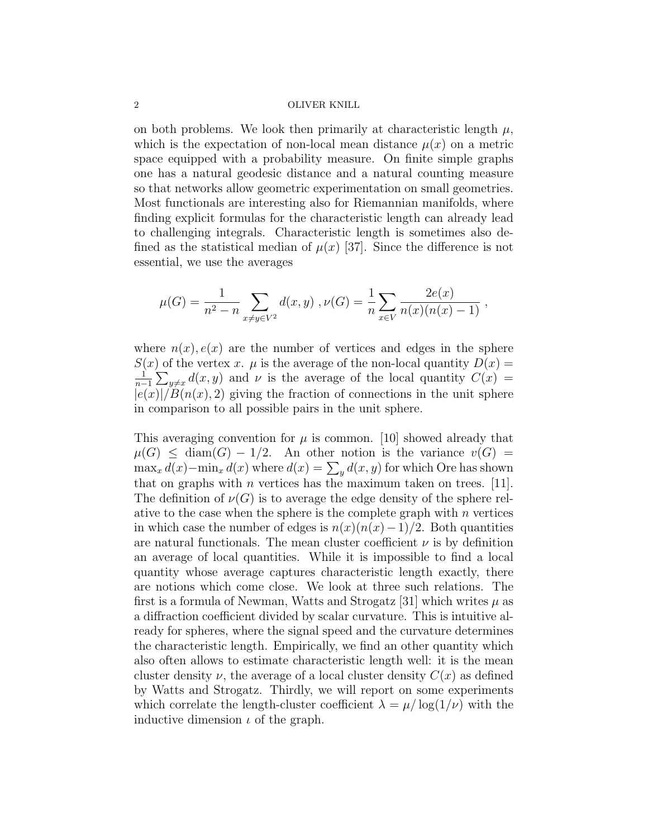on both problems. We look then primarily at characteristic length  $\mu$ , which is the expectation of non-local mean distance  $\mu(x)$  on a metric space equipped with a probability measure. On finite simple graphs one has a natural geodesic distance and a natural counting measure so that networks allow geometric experimentation on small geometries. Most functionals are interesting also for Riemannian manifolds, where finding explicit formulas for the characteristic length can already lead to challenging integrals. Characteristic length is sometimes also defined as the statistical median of  $\mu(x)$  [37]. Since the difference is not essential, we use the averages

$$
\mu(G) = \frac{1}{n^2 - n} \sum_{x \neq y \in V^2} d(x, y) , \nu(G) = \frac{1}{n} \sum_{x \in V} \frac{2e(x)}{n(x)(n(x) - 1)} ,
$$

where  $n(x)$ ,  $e(x)$  are the number of vertices and edges in the sphere  $S(x)$  of the vertex x.  $\mu$  is the average of the non-local quantity  $D(x) =$ 1  $\frac{1}{n-1}\sum_{y\neq x}d(x,y)$  and  $\nu$  is the average of the local quantity  $C(x)$  $|e(x)|/B(n(x), 2)$  giving the fraction of connections in the unit sphere in comparison to all possible pairs in the unit sphere.

This averaging convention for  $\mu$  is common. [10] showed already that  $\mu(G) \leq \text{diam}(G) - 1/2$ . An other notion is the variance  $v(G) =$  $\max_x d(x) - \min_x d(x)$  where  $d(x) = \sum_y d(x, y)$  for which Ore has shown that on graphs with *n* vertices has the maximum taken on trees. [11]. The definition of  $\nu(G)$  is to average the edge density of the sphere relative to the case when the sphere is the complete graph with  $n$  vertices in which case the number of edges is  $n(x)(n(x)-1)/2$ . Both quantities are natural functionals. The mean cluster coefficient  $\nu$  is by definition an average of local quantities. While it is impossible to find a local quantity whose average captures characteristic length exactly, there are notions which come close. We look at three such relations. The first is a formula of Newman, Watts and Strogatz [31] which writes  $\mu$  as a diffraction coefficient divided by scalar curvature. This is intuitive already for spheres, where the signal speed and the curvature determines the characteristic length. Empirically, we find an other quantity which also often allows to estimate characteristic length well: it is the mean cluster density  $\nu$ , the average of a local cluster density  $C(x)$  as defined by Watts and Strogatz. Thirdly, we will report on some experiments which correlate the length-cluster coefficient  $\lambda = \mu / \log(1/\nu)$  with the inductive dimension  $\iota$  of the graph.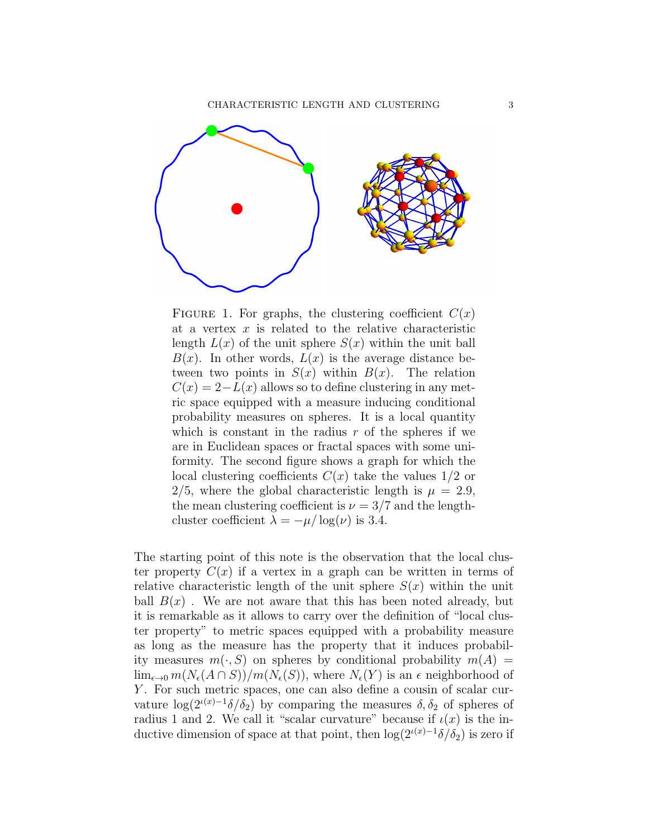

FIGURE 1. For graphs, the clustering coefficient  $C(x)$ at a vertex  $x$  is related to the relative characteristic length  $L(x)$  of the unit sphere  $S(x)$  within the unit ball  $B(x)$ . In other words,  $L(x)$  is the average distance between two points in  $S(x)$  within  $B(x)$ . The relation  $C(x) = 2 - L(x)$  allows so to define clustering in any metric space equipped with a measure inducing conditional probability measures on spheres. It is a local quantity which is constant in the radius  $r$  of the spheres if we are in Euclidean spaces or fractal spaces with some uniformity. The second figure shows a graph for which the local clustering coefficients  $C(x)$  take the values  $1/2$  or 2/5, where the global characteristic length is  $\mu = 2.9$ , the mean clustering coefficient is  $\nu = 3/7$  and the lengthcluster coefficient  $\lambda = -\mu/\log(\nu)$  is 3.4.

The starting point of this note is the observation that the local cluster property  $C(x)$  if a vertex in a graph can be written in terms of relative characteristic length of the unit sphere  $S(x)$  within the unit ball  $B(x)$ . We are not aware that this has been noted already, but it is remarkable as it allows to carry over the definition of "local cluster property" to metric spaces equipped with a probability measure as long as the measure has the property that it induces probability measures  $m(\cdot, S)$  on spheres by conditional probability  $m(A) =$  $\lim_{\epsilon \to 0} m(N_{\epsilon}(A \cap S))/m(N_{\epsilon}(S))$ , where  $N_{\epsilon}(Y)$  is an  $\epsilon$  neighborhood of Y. For such metric spaces, one can also define a cousin of scalar curvature  $\log(2^{i(x)-1}\delta/\delta_2)$  by comparing the measures  $\delta, \delta_2$  of spheres of radius 1 and 2. We call it "scalar curvature" because if  $\iota(x)$  is the inductive dimension of space at that point, then  $\log(2^{i(x)-1}\delta/\delta_2)$  is zero if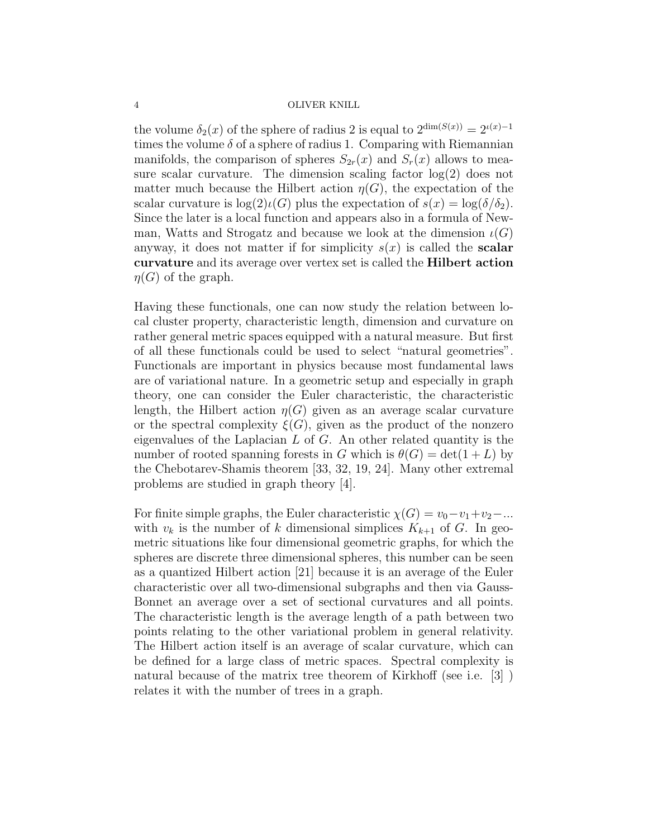the volume  $\delta_2(x)$  of the sphere of radius 2 is equal to  $2^{\dim(S(x))} = 2^{\iota(x)-1}$ times the volume  $\delta$  of a sphere of radius 1. Comparing with Riemannian manifolds, the comparison of spheres  $S_{2r}(x)$  and  $S_r(x)$  allows to measure scalar curvature. The dimension scaling factor  $log(2)$  does not matter much because the Hilbert action  $\eta(G)$ , the expectation of the scalar curvature is  $\log(2) \iota(G)$  plus the expectation of  $s(x) = \log(\delta/\delta_2)$ . Since the later is a local function and appears also in a formula of Newman, Watts and Strogatz and because we look at the dimension  $\iota(G)$ anyway, it does not matter if for simplicity  $s(x)$  is called the **scalar** curvature and its average over vertex set is called the Hilbert action  $\eta(G)$  of the graph.

Having these functionals, one can now study the relation between local cluster property, characteristic length, dimension and curvature on rather general metric spaces equipped with a natural measure. But first of all these functionals could be used to select "natural geometries". Functionals are important in physics because most fundamental laws are of variational nature. In a geometric setup and especially in graph theory, one can consider the Euler characteristic, the characteristic length, the Hilbert action  $\eta(G)$  given as an average scalar curvature or the spectral complexity  $\xi(G)$ , given as the product of the nonzero eigenvalues of the Laplacian  $L$  of  $G$ . An other related quantity is the number of rooted spanning forests in G which is  $\theta(G) = \det(1 + L)$  by the Chebotarev-Shamis theorem [33, 32, 19, 24]. Many other extremal problems are studied in graph theory [4].

For finite simple graphs, the Euler characteristic  $\chi(G) = v_0 - v_1 + v_2 - ...$ with  $v_k$  is the number of k dimensional simplices  $K_{k+1}$  of G. In geometric situations like four dimensional geometric graphs, for which the spheres are discrete three dimensional spheres, this number can be seen as a quantized Hilbert action [21] because it is an average of the Euler characteristic over all two-dimensional subgraphs and then via Gauss-Bonnet an average over a set of sectional curvatures and all points. The characteristic length is the average length of a path between two points relating to the other variational problem in general relativity. The Hilbert action itself is an average of scalar curvature, which can be defined for a large class of metric spaces. Spectral complexity is natural because of the matrix tree theorem of Kirkhoff (see i.e. [3] ) relates it with the number of trees in a graph.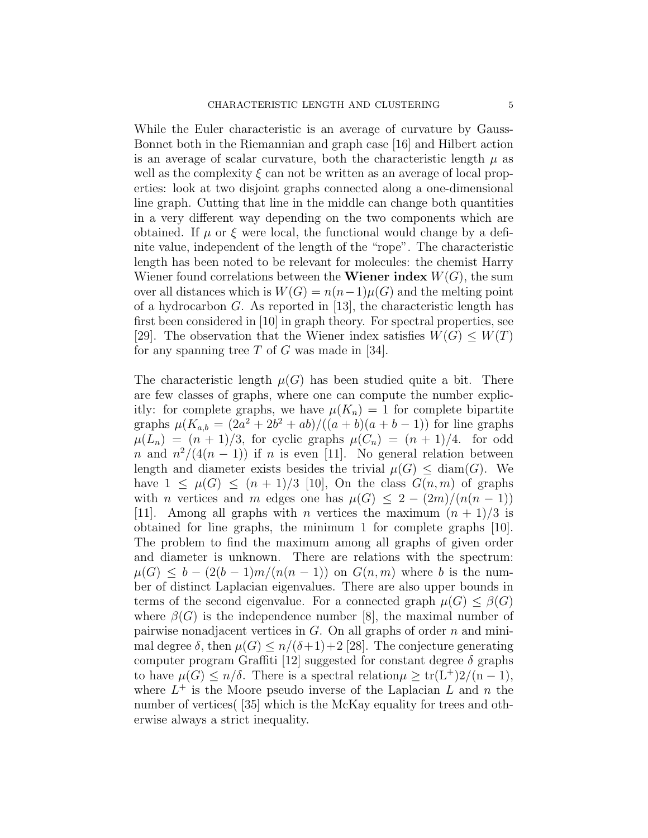While the Euler characteristic is an average of curvature by Gauss-Bonnet both in the Riemannian and graph case [16] and Hilbert action is an average of scalar curvature, both the characteristic length  $\mu$  as well as the complexity  $\xi$  can not be written as an average of local properties: look at two disjoint graphs connected along a one-dimensional line graph. Cutting that line in the middle can change both quantities in a very different way depending on the two components which are obtained. If  $\mu$  or  $\xi$  were local, the functional would change by a definite value, independent of the length of the "rope". The characteristic length has been noted to be relevant for molecules: the chemist Harry Wiener found correlations between the **Wiener index**  $W(G)$ , the sum over all distances which is  $W(G) = n(n-1)\mu(G)$  and the melting point of a hydrocarbon G. As reported in [13], the characteristic length has first been considered in [10] in graph theory. For spectral properties, see [29]. The observation that the Wiener index satisfies  $W(G) \leq W(T)$ for any spanning tree  $T$  of  $G$  was made in [34].

The characteristic length  $\mu(G)$  has been studied quite a bit. There are few classes of graphs, where one can compute the number explicitly: for complete graphs, we have  $\mu(K_n) = 1$  for complete bipartite graphs  $\mu(K_{a,b} = (2a^2 + 2b^2 + ab)/((a+b)(a+b-1))$  for line graphs  $\mu(L_n) = (n+1)/3$ , for cyclic graphs  $\mu(C_n) = (n+1)/4$ . for odd n and  $n^2/(4(n-1))$  if n is even [11]. No general relation between length and diameter exists besides the trivial  $\mu(G) \leq \text{diam}(G)$ . We have  $1 \leq \mu(G) \leq (n+1)/3$  [10], On the class  $G(n,m)$  of graphs with *n* vertices and *m* edges one has  $\mu(G) \leq 2 - (2m)/(n(n-1))$ [11]. Among all graphs with *n* vertices the maximum  $(n + 1)/3$  is obtained for line graphs, the minimum 1 for complete graphs [10]. The problem to find the maximum among all graphs of given order and diameter is unknown. There are relations with the spectrum:  $\mu(G) \leq b - (2(b-1)m/(n(n-1))$  on  $G(n,m)$  where b is the number of distinct Laplacian eigenvalues. There are also upper bounds in terms of the second eigenvalue. For a connected graph  $\mu(G) \leq \beta(G)$ where  $\beta(G)$  is the independence number [8], the maximal number of pairwise nonadjacent vertices in  $G$ . On all graphs of order  $n$  and minimal degree  $\delta$ , then  $\mu(G) \leq n/(\delta+1)+2$  [28]. The conjecture generating computer program Graffiti [12] suggested for constant degree  $\delta$  graphs to have  $\mu(G) \leq n/\delta$ . There is a spectral relation  $\mu \geq \text{tr}(L^+)2/(n-1)$ , where  $L^+$  is the Moore pseudo inverse of the Laplacian  $L$  and  $n$  the number of vertices ([35] which is the McKay equality for trees and otherwise always a strict inequality.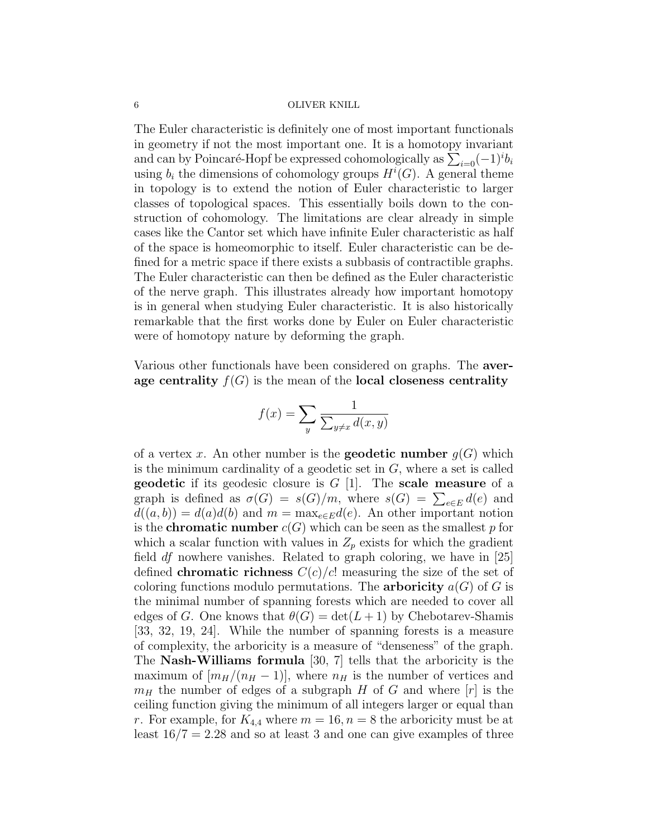The Euler characteristic is definitely one of most important functionals in geometry if not the most important one. It is a homotopy invariant and can by Poincaré-Hopf be expressed cohomologically as  $\sum_{i=0}^{\infty}(-1)^{i}b_{i}$ using  $b_i$  the dimensions of cohomology groups  $H^i(G)$ . A general theme in topology is to extend the notion of Euler characteristic to larger classes of topological spaces. This essentially boils down to the construction of cohomology. The limitations are clear already in simple cases like the Cantor set which have infinite Euler characteristic as half of the space is homeomorphic to itself. Euler characteristic can be defined for a metric space if there exists a subbasis of contractible graphs. The Euler characteristic can then be defined as the Euler characteristic of the nerve graph. This illustrates already how important homotopy is in general when studying Euler characteristic. It is also historically remarkable that the first works done by Euler on Euler characteristic were of homotopy nature by deforming the graph.

Various other functionals have been considered on graphs. The average centrality  $f(G)$  is the mean of the local closeness centrality

$$
f(x) = \sum_{y} \frac{1}{\sum_{y \neq x} d(x, y)}
$$

of a vertex x. An other number is the **geodetic number**  $g(G)$  which is the minimum cardinality of a geodetic set in  $G$ , where a set is called **geodetic** if its geodesic closure is  $G$  [1]. The **scale measure** of a graph is defined as  $\sigma(G) = s(G)/m$ , where  $s(G) = \sum_{e \in E} d(e)$  and  $d((a, b)) = d(a)d(b)$  and  $m = \max_{e \in E} d(e)$ . An other important notion is the **chromatic number**  $c(G)$  which can be seen as the smallest p for which a scalar function with values in  $Z_p$  exists for which the gradient field  $df$  nowhere vanishes. Related to graph coloring, we have in [25] defined **chromatic richness**  $C(c)/c!$  measuring the size of the set of coloring functions modulo permutations. The **arboricity**  $a(G)$  of G is the minimal number of spanning forests which are needed to cover all edges of G. One knows that  $\theta(G) = \det(L+1)$  by Chebotarev-Shamis [33, 32, 19, 24]. While the number of spanning forests is a measure of complexity, the arboricity is a measure of "denseness" of the graph. The Nash-Williams formula [30, 7] tells that the arboricity is the maximum of  $[m_H/(n_H - 1)]$ , where  $n_H$  is the number of vertices and  $m_H$  the number of edges of a subgraph H of G and where  $|r|$  is the ceiling function giving the minimum of all integers larger or equal than r. For example, for  $K_{4,4}$  where  $m = 16, n = 8$  the arboricity must be at least  $16/7 = 2.28$  and so at least 3 and one can give examples of three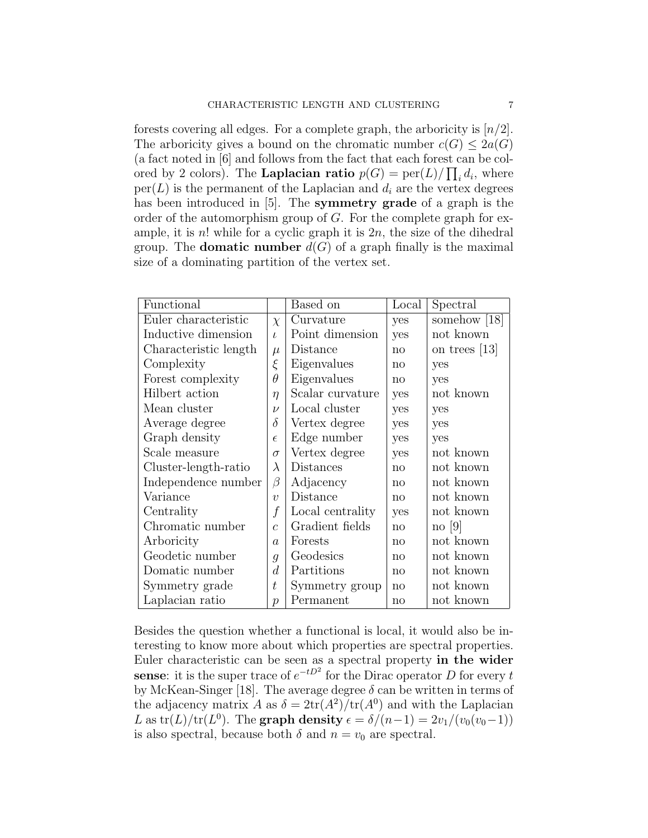forests covering all edges. For a complete graph, the arboricity is  $\lfloor n/2 \rfloor$ . The arboricity gives a bound on the chromatic number  $c(G) \leq 2a(G)$ (a fact noted in [6] and follows from the fact that each forest can be colored by 2 colors). The **Laplacian ratio**  $p(G) = \text{per}(L)/\prod_i d_i$ , where  $per(L)$  is the permanent of the Laplacian and  $d_i$  are the vertex degrees has been introduced in [5]. The **symmetry grade** of a graph is the order of the automorphism group of  $G$ . For the complete graph for example, it is  $n!$  while for a cyclic graph it is  $2n$ , the size of the dihedral group. The **domatic number**  $d(G)$  of a graph finally is the maximal size of a dominating partition of the vertex set.

| Functional            |                  | Based on         | Local        | Spectral        |
|-----------------------|------------------|------------------|--------------|-----------------|
| Euler characteristic  | $\chi$           | Curvature        | yes          | somehow $ 18 $  |
| Inductive dimension   | $\iota$          | Point dimension  | yes          | not known       |
| Characteristic length | $\mu$            | Distance         | no           | on trees $[13]$ |
| Complexity            | ξ                | Eigenvalues      | $\mathbf{n}$ | yes             |
| Forest complexity     | $\theta$         | Eigenvalues      | $\mathbf{n}$ | yes             |
| Hilbert action        | $\eta$           | Scalar curvature | yes          | not known       |
| Mean cluster          | $\nu$            | Local cluster    | yes          | yes             |
| Average degree        | $\delta$         | Vertex degree    | yes          | yes             |
| Graph density         | $\epsilon$       | Edge number      | yes          | yes             |
| Scale measure         | $\sigma$         | Vertex degree    | yes          | not known       |
| Cluster-length-ratio  | $\lambda$        | Distances        | no           | not known       |
| Independence number   | β                | Adjacency        | $\mathbf{n}$ | not known       |
| Variance              | $\boldsymbol{v}$ | Distance         | no           | not known       |
| Centrality            | $\boldsymbol{f}$ | Local centrality | yes          | not known       |
| Chromatic number      | $\overline{c}$   | Gradient fields  | no           | $\log  9 $      |
| Arboricity            | $\alpha$         | Forests          | no           | not known       |
| Geodetic number       | $\mathfrak{g}$   | Geodesics        | no           | not known       |
| Domatic number        | $\overline{d}$   | Partitions       | no           | not known       |
| Symmetry grade        | t                | Symmetry group   | $\mathbf{n}$ | not known       |
| Laplacian ratio       | $\mathcal{D}$    | Permanent        | $\mathbf{n}$ | not known       |

Besides the question whether a functional is local, it would also be interesting to know more about which properties are spectral properties. Euler characteristic can be seen as a spectral property in the wider sense: it is the super trace of  $e^{-tD^2}$  for the Dirac operator D for every t by McKean-Singer [18]. The average degree  $\delta$  can be written in terms of the adjacency matrix A as  $\delta = 2tr(A^2)/tr(A^0)$  and with the Laplacian L as  $tr(L)/tr(L^0)$ . The graph density  $\epsilon = \delta/(n-1) = 2v_1/(v_0(v_0-1))$ is also spectral, because both  $\delta$  and  $n = v_0$  are spectral.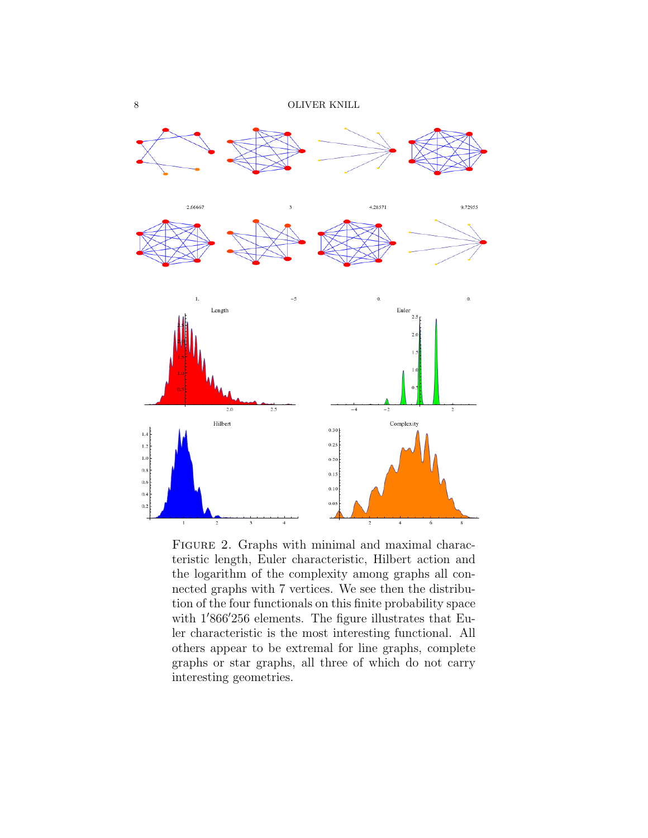

FIGURE 2. Graphs with minimal and maximal characteristic length, Euler characteristic, Hilbert action and the logarithm of the complexity among graphs all connected graphs with 7 vertices. We see then the distribution of the four functionals on this finite probability space with  $1'866'256$  elements. The figure illustrates that Euler characteristic is the most interesting functional. All others appear to be extremal for line graphs, complete graphs or star graphs, all three of which do not carry interesting geometries.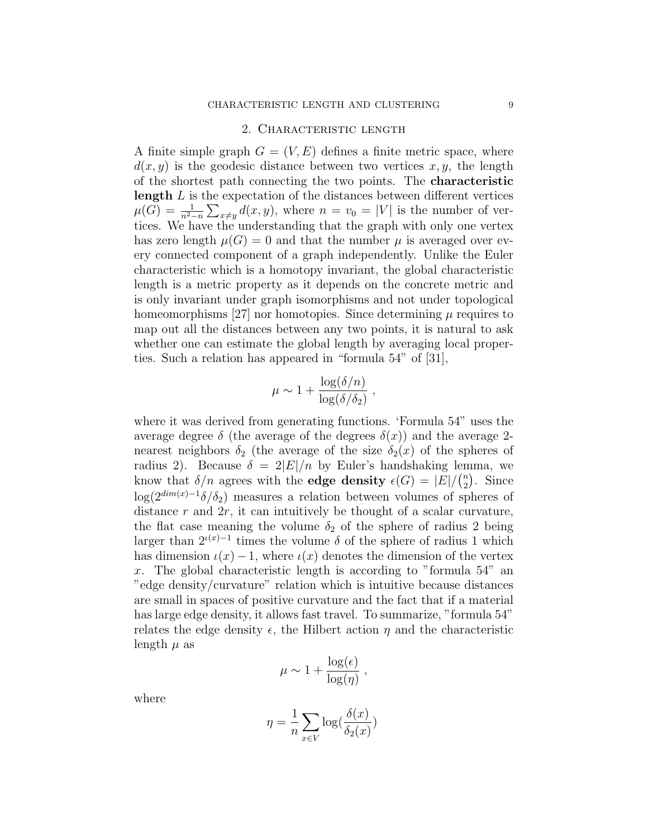### 2. Characteristic length

A finite simple graph  $G = (V, E)$  defines a finite metric space, where  $d(x, y)$  is the geodesic distance between two vertices x, y, the length of the shortest path connecting the two points. The characteristic length  $L$  is the expectation of the distances between different vertices  $\mu(G) = \frac{1}{n^2-n} \sum_{x \neq y} d(x, y)$ , where  $n = v_0 = |V|$  is the number of vertices. We have the understanding that the graph with only one vertex has zero length  $\mu(G) = 0$  and that the number  $\mu$  is averaged over every connected component of a graph independently. Unlike the Euler characteristic which is a homotopy invariant, the global characteristic length is a metric property as it depends on the concrete metric and is only invariant under graph isomorphisms and not under topological homeomorphisms [27] nor homotopies. Since determining  $\mu$  requires to map out all the distances between any two points, it is natural to ask whether one can estimate the global length by averaging local properties. Such a relation has appeared in "formula 54" of [31],

$$
\mu \sim 1 + \frac{\log(\delta/n)}{\log(\delta/\delta_2)} ,
$$

where it was derived from generating functions. 'Formula 54" uses the average degree  $\delta$  (the average of the degrees  $\delta(x)$ ) and the average 2nearest neighbors  $\delta_2$  (the average of the size  $\delta_2(x)$  of the spheres of radius 2). Because  $\delta = 2|E|/n$  by Euler's handshaking lemma, we know that  $\delta/n$  agrees with the **edge density**  $\epsilon(G) = |E| / {n \choose 2}$  $n \choose 2$ . Since  $\log(2^{\dim(x)-1}\delta/\delta_2)$  measures a relation between volumes of spheres of distance  $r$  and  $2r$ , it can intuitively be thought of a scalar curvature, the flat case meaning the volume  $\delta_2$  of the sphere of radius 2 being larger than  $2^{\iota(x)-1}$  times the volume  $\delta$  of the sphere of radius 1 which has dimension  $\iota(x)-1$ , where  $\iota(x)$  denotes the dimension of the vertex x. The global characteristic length is according to "formula  $54$ " and "edge density/curvature" relation which is intuitive because distances are small in spaces of positive curvature and the fact that if a material has large edge density, it allows fast travel. To summarize, "formula 54" relates the edge density  $\epsilon$ , the Hilbert action  $\eta$  and the characteristic length  $\mu$  as

$$
\mu \sim 1 + \frac{\log(\epsilon)}{\log(\eta)},
$$

where

$$
\eta = \frac{1}{n} \sum_{x \in V} \log(\frac{\delta(x)}{\delta_2(x)})
$$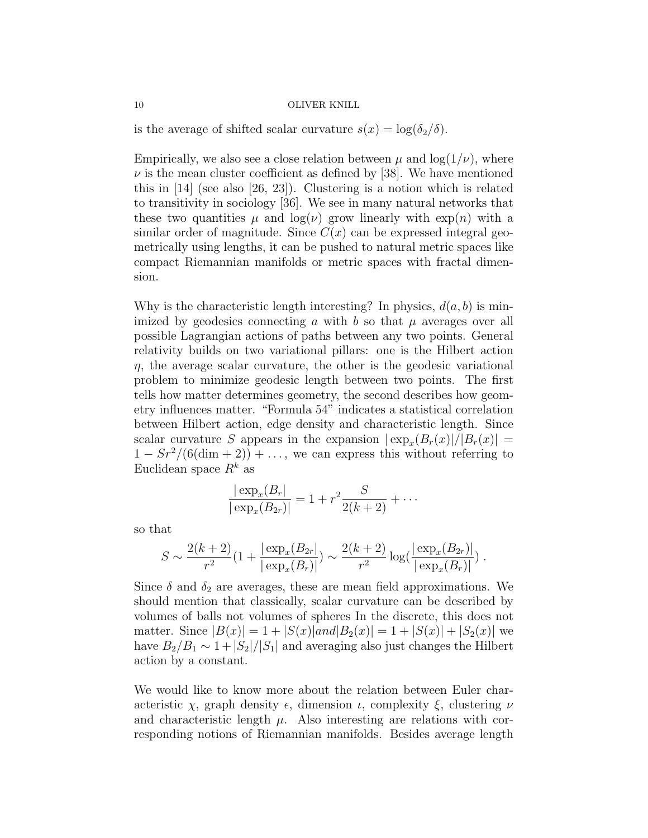is the average of shifted scalar curvature  $s(x) = \log(\delta_2/\delta)$ .

Empirically, we also see a close relation between  $\mu$  and  $\log(1/\nu)$ , where  $\nu$  is the mean cluster coefficient as defined by [38]. We have mentioned this in [14] (see also [26, 23]). Clustering is a notion which is related to transitivity in sociology [36]. We see in many natural networks that these two quantities  $\mu$  and  $\log(\nu)$  grow linearly with  $\exp(n)$  with a similar order of magnitude. Since  $C(x)$  can be expressed integral geometrically using lengths, it can be pushed to natural metric spaces like compact Riemannian manifolds or metric spaces with fractal dimension.

Why is the characteristic length interesting? In physics,  $d(a, b)$  is minimized by geodesics connecting a with b so that  $\mu$  averages over all possible Lagrangian actions of paths between any two points. General relativity builds on two variational pillars: one is the Hilbert action  $\eta$ , the average scalar curvature, the other is the geodesic variational problem to minimize geodesic length between two points. The first tells how matter determines geometry, the second describes how geometry influences matter. "Formula 54" indicates a statistical correlation between Hilbert action, edge density and characteristic length. Since scalar curvature S appears in the expansion  $|\exp_x(B_r(x)|/|B_r(x)|)$  =  $1 - Sr^2/(6(\dim + 2)) + \ldots$ , we can express this without referring to Euclidean space  $R^k$  as

$$
\frac{|\exp_x(B_r)|}{|\exp_x(B_{2r})|} = 1 + r^2 \frac{S}{2(k+2)} + \cdots
$$

so that

$$
S \sim \frac{2(k+2)}{r^2} \left(1 + \frac{|\exp_x(B_{2r}|)}{|\exp_x(B_r)|}\right) \sim \frac{2(k+2)}{r^2} \log(\frac{|\exp_x(B_{2r})|}{|\exp_x(B_r)|})
$$

Since  $\delta$  and  $\delta_2$  are averages, these are mean field approximations. We should mention that classically, scalar curvature can be described by volumes of balls not volumes of spheres In the discrete, this does not matter. Since  $|B(x)| = 1 + |S(x)|$  and  $|B_2(x)| = 1 + |S(x)| + |S_2(x)|$  we have  $B_2/B_1 \sim 1 + |S_2|/|S_1|$  and averaging also just changes the Hilbert action by a constant.

We would like to know more about the relation between Euler characteristic  $\chi$ , graph density  $\epsilon$ , dimension  $\iota$ , complexity  $\xi$ , clustering  $\nu$ and characteristic length  $\mu$ . Also interesting are relations with corresponding notions of Riemannian manifolds. Besides average length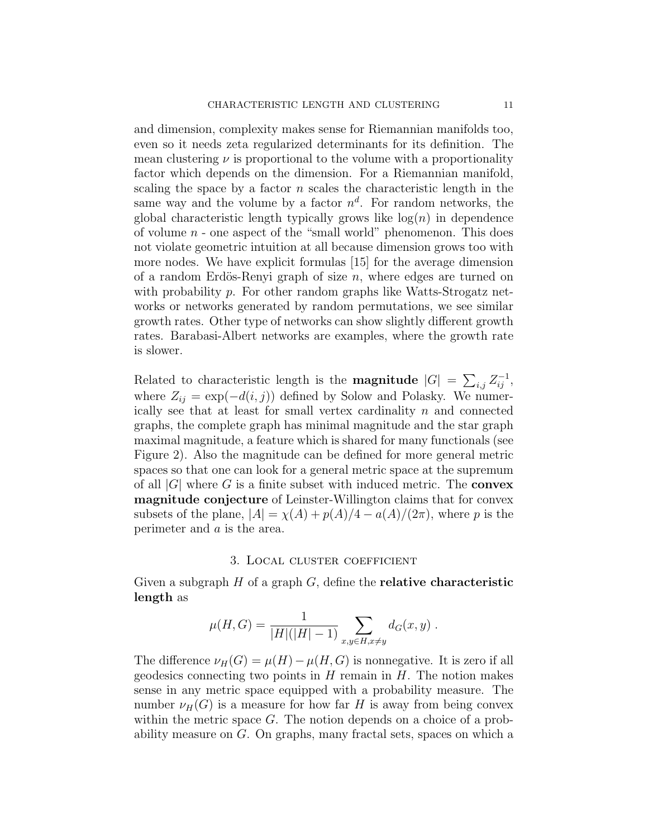and dimension, complexity makes sense for Riemannian manifolds too, even so it needs zeta regularized determinants for its definition. The mean clustering  $\nu$  is proportional to the volume with a proportionality factor which depends on the dimension. For a Riemannian manifold, scaling the space by a factor  $n$  scales the characteristic length in the same way and the volume by a factor  $n^d$ . For random networks, the global characteristic length typically grows like  $log(n)$  in dependence of volume  $n$  - one aspect of the "small world" phenomenon. This does not violate geometric intuition at all because dimension grows too with more nodes. We have explicit formulas [15] for the average dimension of a random Erdös-Renyi graph of size  $n$ , where edges are turned on with probability p. For other random graphs like Watts-Strogatz networks or networks generated by random permutations, we see similar growth rates. Other type of networks can show slightly different growth rates. Barabasi-Albert networks are examples, where the growth rate is slower.

Related to characteristic length is the **magnitude**  $|G| = \sum_{i,j} Z_{ij}^{-1}$ , where  $Z_{ij} = \exp(-d(i, j))$  defined by Solow and Polasky. We numerically see that at least for small vertex cardinality  $n$  and connected graphs, the complete graph has minimal magnitude and the star graph maximal magnitude, a feature which is shared for many functionals (see Figure 2). Also the magnitude can be defined for more general metric spaces so that one can look for a general metric space at the supremum of all  $|G|$  where G is a finite subset with induced metric. The **convex** magnitude conjecture of Leinster-Willington claims that for convex subsets of the plane,  $|A| = \chi(A) + p(A)/4 - a(A)/(2\pi)$ , where p is the perimeter and a is the area.

### 3. Local cluster coefficient

Given a subgraph  $H$  of a graph  $G$ , define the **relative characteristic** length as

$$
\mu(H, G) = \frac{1}{|H|(|H|-1)} \sum_{x, y \in H, x \neq y} d_G(x, y) .
$$

The difference  $\nu_H(G) = \mu(H) - \mu(H, G)$  is nonnegative. It is zero if all geodesics connecting two points in  $H$  remain in  $H$ . The notion makes sense in any metric space equipped with a probability measure. The number  $\nu_H(G)$  is a measure for how far H is away from being convex within the metric space G. The notion depends on a choice of a probability measure on G. On graphs, many fractal sets, spaces on which a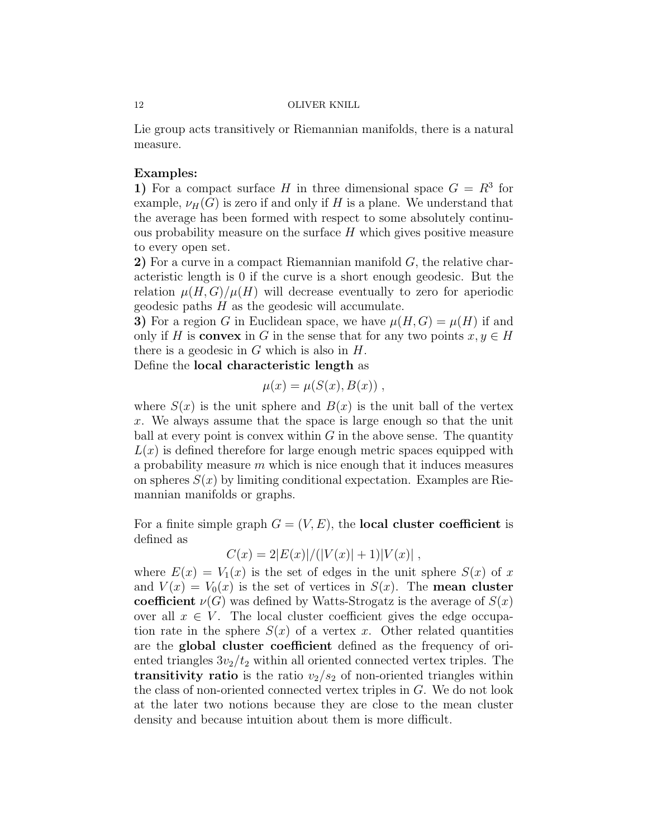Lie group acts transitively or Riemannian manifolds, there is a natural measure.

# Examples:

1) For a compact surface H in three dimensional space  $G = R<sup>3</sup>$  for example,  $\nu_H(G)$  is zero if and only if H is a plane. We understand that the average has been formed with respect to some absolutely continuous probability measure on the surface  $H$  which gives positive measure to every open set.

2) For a curve in a compact Riemannian manifold  $G$ , the relative characteristic length is 0 if the curve is a short enough geodesic. But the relation  $\mu(H, G)/\mu(H)$  will decrease eventually to zero for aperiodic geodesic paths  $H$  as the geodesic will accumulate.

3) For a region G in Euclidean space, we have  $\mu(H, G) = \mu(H)$  if and only if H is **convex** in G in the sense that for any two points  $x, y \in H$ there is a geodesic in  $G$  which is also in  $H$ .

Define the local characteristic length as

$$
\mu(x) = \mu(S(x), B(x)),
$$

where  $S(x)$  is the unit sphere and  $B(x)$  is the unit ball of the vertex x. We always assume that the space is large enough so that the unit ball at every point is convex within  $G$  in the above sense. The quantity  $L(x)$  is defined therefore for large enough metric spaces equipped with a probability measure  $m$  which is nice enough that it induces measures on spheres  $S(x)$  by limiting conditional expectation. Examples are Riemannian manifolds or graphs.

For a finite simple graph  $G = (V, E)$ , the **local cluster coefficient** is defined as

$$
C(x) = 2|E(x)|/(|V(x)|+1)|V(x)|,
$$

where  $E(x) = V_1(x)$  is the set of edges in the unit sphere  $S(x)$  of x and  $V(x) = V_0(x)$  is the set of vertices in  $S(x)$ . The **mean cluster** coefficient  $\nu(G)$  was defined by Watts-Strogatz is the average of  $S(x)$ over all  $x \in V$ . The local cluster coefficient gives the edge occupation rate in the sphere  $S(x)$  of a vertex x. Other related quantities are the global cluster coefficient defined as the frequency of oriented triangles  $3v_2/t_2$  within all oriented connected vertex triples. The transitivity ratio is the ratio  $v_2/s_2$  of non-oriented triangles within the class of non-oriented connected vertex triples in G. We do not look at the later two notions because they are close to the mean cluster density and because intuition about them is more difficult.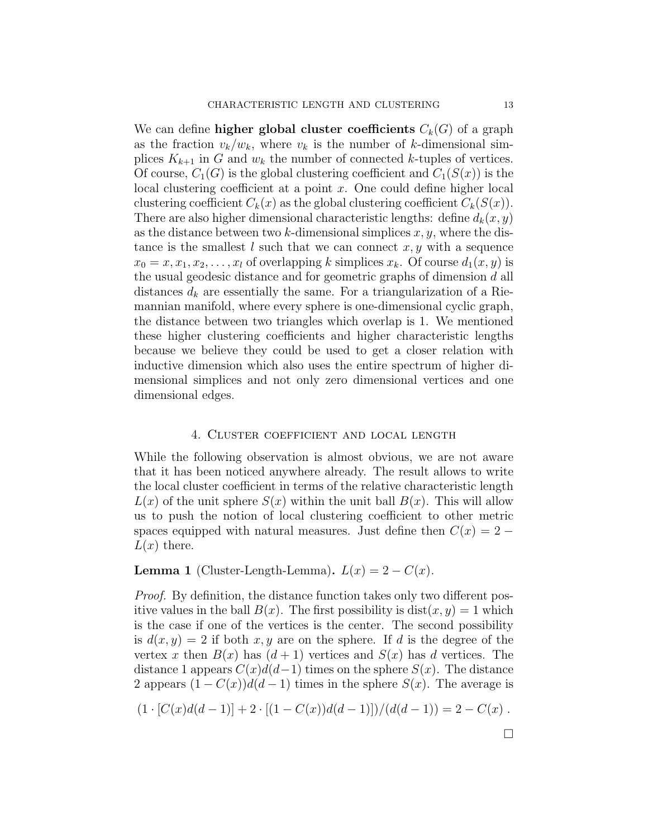We can define **higher global cluster coefficients**  $C_k(G)$  of a graph as the fraction  $v_k/w_k$ , where  $v_k$  is the number of k-dimensional simplices  $K_{k+1}$  in G and  $w_k$  the number of connected k-tuples of vertices. Of course,  $C_1(G)$  is the global clustering coefficient and  $C_1(S(x))$  is the local clustering coefficient at a point x. One could define higher local clustering coefficient  $C_k(x)$  as the global clustering coefficient  $C_k(S(x))$ . There are also higher dimensional characteristic lengths: define  $d_k(x, y)$ as the distance between two k-dimensional simplices  $x, y$ , where the distance is the smallest l such that we can connect  $x, y$  with a sequence  $x_0 = x, x_1, x_2, \ldots, x_l$  of overlapping k simplices  $x_k$ . Of course  $d_1(x, y)$  is the usual geodesic distance and for geometric graphs of dimension d all distances  $d_k$  are essentially the same. For a triangularization of a Riemannian manifold, where every sphere is one-dimensional cyclic graph, the distance between two triangles which overlap is 1. We mentioned these higher clustering coefficients and higher characteristic lengths because we believe they could be used to get a closer relation with inductive dimension which also uses the entire spectrum of higher dimensional simplices and not only zero dimensional vertices and one dimensional edges.

# 4. Cluster coefficient and local length

While the following observation is almost obvious, we are not aware that it has been noticed anywhere already. The result allows to write the local cluster coefficient in terms of the relative characteristic length  $L(x)$  of the unit sphere  $S(x)$  within the unit ball  $B(x)$ . This will allow us to push the notion of local clustering coefficient to other metric spaces equipped with natural measures. Just define then  $C(x) = 2 L(x)$  there.

# **Lemma 1** (Cluster-Length-Lemma).  $L(x) = 2 - C(x)$ .

Proof. By definition, the distance function takes only two different positive values in the ball  $B(x)$ . The first possibility is  $dist(x, y) = 1$  which is the case if one of the vertices is the center. The second possibility is  $d(x, y) = 2$  if both x, y are on the sphere. If d is the degree of the vertex x then  $B(x)$  has  $(d+1)$  vertices and  $S(x)$  has d vertices. The distance 1 appears  $C(x)d(d-1)$  times on the sphere  $S(x)$ . The distance 2 appears  $(1 - C(x))d(d-1)$  times in the sphere  $S(x)$ . The average is

$$
(1 \cdot [C(x)d(d-1)] + 2 \cdot [(1 - C(x))d(d-1)])/(d(d-1)) = 2 - C(x).
$$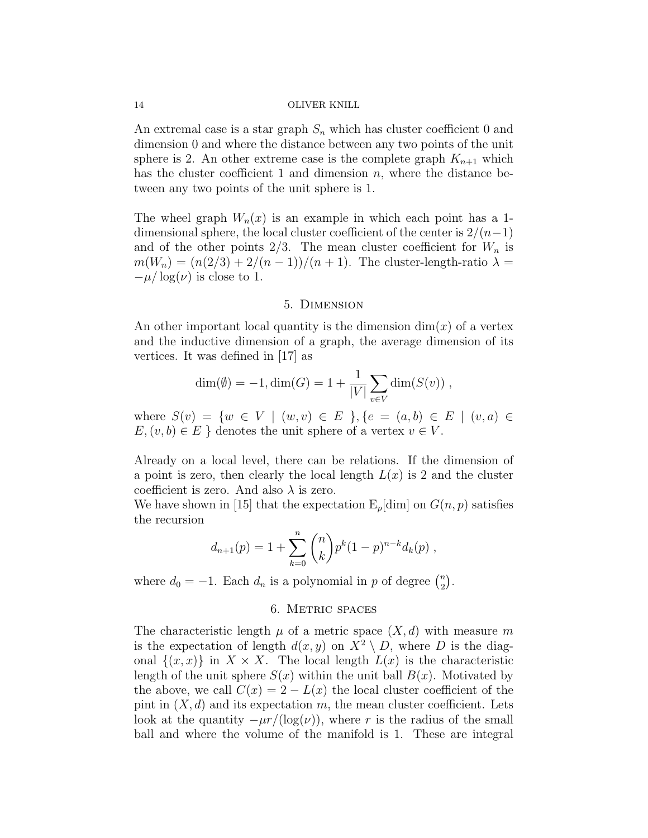An extremal case is a star graph  $S_n$  which has cluster coefficient 0 and dimension 0 and where the distance between any two points of the unit sphere is 2. An other extreme case is the complete graph  $K_{n+1}$  which has the cluster coefficient 1 and dimension  $n$ , where the distance between any two points of the unit sphere is 1.

The wheel graph  $W_n(x)$  is an example in which each point has a 1dimensional sphere, the local cluster coefficient of the center is  $2/(n-1)$ and of the other points  $2/3$ . The mean cluster coefficient for  $W_n$  is  $m(W_n) = (n(2/3) + 2/(n-1))/(n+1)$ . The cluster-length-ratio  $\lambda =$  $-\mu/\log(\nu)$  is close to 1.

## 5. Dimension

An other important local quantity is the dimension  $\dim(x)$  of a vertex and the inductive dimension of a graph, the average dimension of its vertices. It was defined in [17] as

$$
\dim(\emptyset) = -1, \dim(G) = 1 + \frac{1}{|V|} \sum_{v \in V} \dim(S(v)),
$$

where  $S(v) = \{w \in V \mid (w, v) \in E\}$ ,  $\{e = (a, b) \in E \mid (v, a) \in E\}$  $E,(v,b) \in E$  } denotes the unit sphere of a vertex  $v \in V$ .

Already on a local level, there can be relations. If the dimension of a point is zero, then clearly the local length  $L(x)$  is 2 and the cluster coefficient is zero. And also  $\lambda$  is zero.

We have shown in [15] that the expectation  $E_p$ [dim] on  $G(n, p)$  satisfies the recursion

$$
d_{n+1}(p) = 1 + \sum_{k=0}^{n} {n \choose k} p^{k} (1-p)^{n-k} d_{k}(p) ,
$$

where  $d_0 = -1$ . Each  $d_n$  is a polynomial in p of degree  $\binom{n}{2}$  $\binom{n}{2}$ .

## 6. Metric spaces

The characteristic length  $\mu$  of a metric space  $(X, d)$  with measure m is the expectation of length  $d(x, y)$  on  $X^2 \setminus D$ , where D is the diagonal  $\{(x, x)\}\$ in  $X \times X$ . The local length  $L(x)$  is the characteristic length of the unit sphere  $S(x)$  within the unit ball  $B(x)$ . Motivated by the above, we call  $C(x) = 2 - L(x)$  the local cluster coefficient of the pint in  $(X, d)$  and its expectation m, the mean cluster coefficient. Lets look at the quantity  $-\mu r/(\log(\nu))$ , where r is the radius of the small ball and where the volume of the manifold is 1. These are integral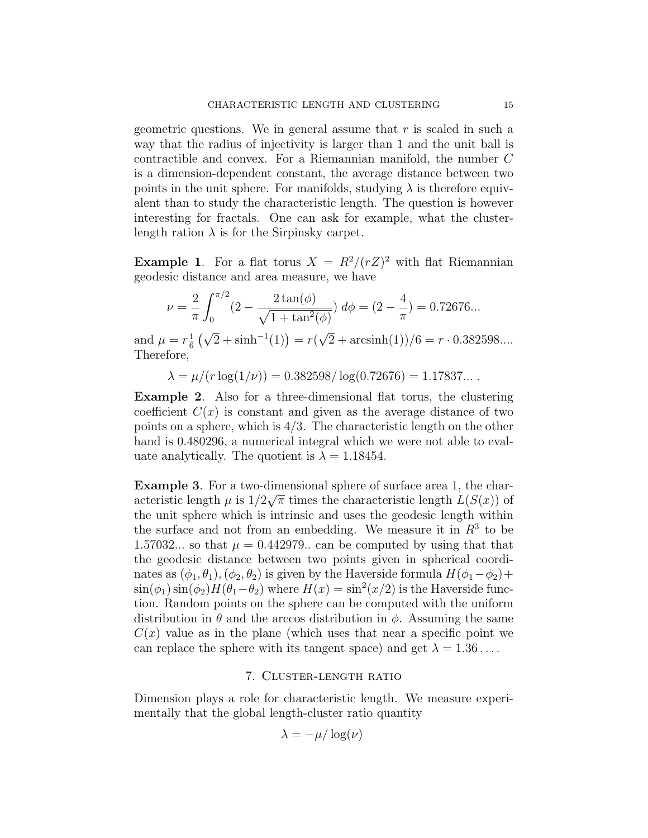geometric questions. We in general assume that  $r$  is scaled in such a way that the radius of injectivity is larger than 1 and the unit ball is contractible and convex. For a Riemannian manifold, the number C is a dimension-dependent constant, the average distance between two points in the unit sphere. For manifolds, studying  $\lambda$  is therefore equivalent than to study the characteristic length. The question is however interesting for fractals. One can ask for example, what the clusterlength ration  $\lambda$  is for the Sirpinsky carpet.

**Example 1.** For a flat torus  $X = R^2/(rZ)^2$  with flat Riemannian geodesic distance and area measure, we have

$$
\nu = \frac{2}{\pi} \int_0^{\pi/2} (2 - \frac{2 \tan(\phi)}{\sqrt{1 + \tan^2(\phi)}}) d\phi = (2 - \frac{4}{\pi}) = 0.72676...
$$

and  $\mu = r_{\overline{6}}^{\frac{1}{2}}$  $\frac{1}{6}(\sqrt{2}+\sinh^{-1}(1))=r($  $(2 + \operatorname{arcsinh}(1))/6 = r \cdot 0.382598...$ Therefore,

 $\lambda = \mu/(r \log(1/\nu)) = 0.382598/\log(0.72676) = 1.17837...$ 

Example 2. Also for a three-dimensional flat torus, the clustering coefficient  $C(x)$  is constant and given as the average distance of two points on a sphere, which is  $4/3$ . The characteristic length on the other hand is 0.480296, a numerical integral which we were not able to evaluate analytically. The quotient is  $\lambda = 1.18454$ .

**Example 3.** For a two-dimensional sphere of surface area 1, the characteristic length  $\mu$  is  $1/2\sqrt{\pi}$  times the characteristic length  $L(S(x))$  of the unit sphere which is intrinsic and uses the geodesic length within the surface and not from an embedding. We measure it in  $R<sup>3</sup>$  to be 1.57032... so that  $\mu = 0.442979$ .. can be computed by using that that the geodesic distance between two points given in spherical coordinates as  $(\phi_1, \theta_1), (\phi_2, \theta_2)$  is given by the Haverside formula  $H(\phi_1-\phi_2)+$  $\sin(\phi_1)\sin(\phi_2)H(\theta_1-\theta_2)$  where  $H(x) = \sin^2(x/2)$  is the Haverside function. Random points on the sphere can be computed with the uniform distribution in  $\theta$  and the arccos distribution in  $\phi$ . Assuming the same  $C(x)$  value as in the plane (which uses that near a specific point we can replace the sphere with its tangent space) and get  $\lambda = 1.36 \dots$ .

# 7. Cluster-length ratio

Dimension plays a role for characteristic length. We measure experimentally that the global length-cluster ratio quantity

$$
\lambda = -\mu/\log(\nu)
$$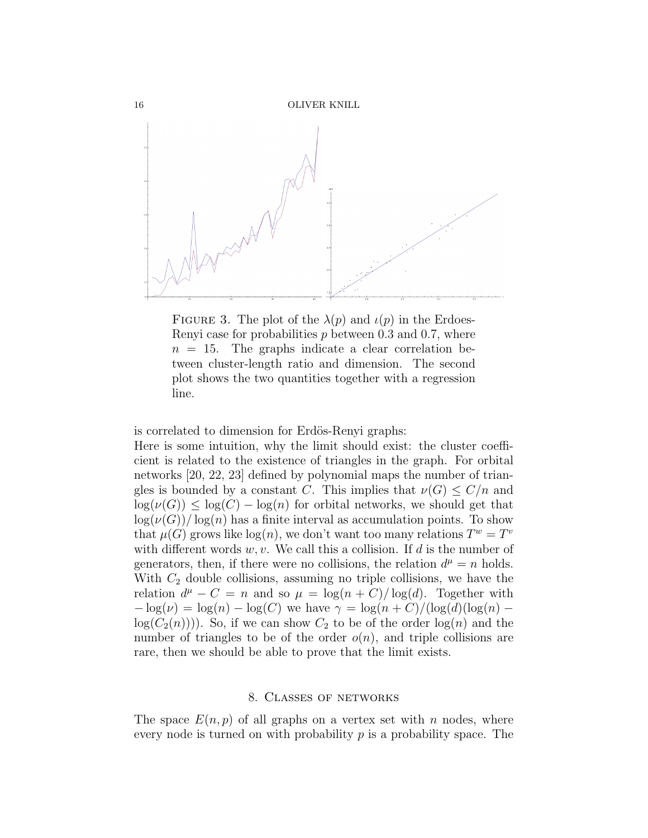

FIGURE 3. The plot of the  $\lambda(p)$  and  $\iota(p)$  in the Erdoes-Renyi case for probabilities  $p$  between 0.3 and 0.7, where  $n = 15$ . The graphs indicate a clear correlation between cluster-length ratio and dimension. The second plot shows the two quantities together with a regression line.

is correlated to dimension for Erdös-Renyi graphs:

Here is some intuition, why the limit should exist: the cluster coefficient is related to the existence of triangles in the graph. For orbital networks [20, 22, 23] defined by polynomial maps the number of triangles is bounded by a constant C. This implies that  $\nu(G) \leq C/n$  and  $\log(\nu(G)) \leq \log(C) - \log(n)$  for orbital networks, we should get that  $\log(\nu(G))/\log(n)$  has a finite interval as accumulation points. To show that  $\mu(G)$  grows like  $log(n)$ , we don't want too many relations  $T^w = T^v$ with different words  $w, v$ . We call this a collision. If  $d$  is the number of generators, then, if there were no collisions, the relation  $d^{\mu} = n$  holds. With  $C_2$  double collisions, assuming no triple collisions, we have the relation  $d^{\mu} - C = n$  and so  $\mu = \log(n + C)/\log(d)$ . Together with  $-\log(\nu) = \log(n) - \log(C)$  we have  $\gamma = \log(n+C)/(\log(d)(\log(n)$  $log(C_2(n)))$ . So, if we can show  $C_2$  to be of the order  $log(n)$  and the number of triangles to be of the order  $o(n)$ , and triple collisions are rare, then we should be able to prove that the limit exists.

## 8. Classes of networks

The space  $E(n, p)$  of all graphs on a vertex set with n nodes, where every node is turned on with probability  $p$  is a probability space. The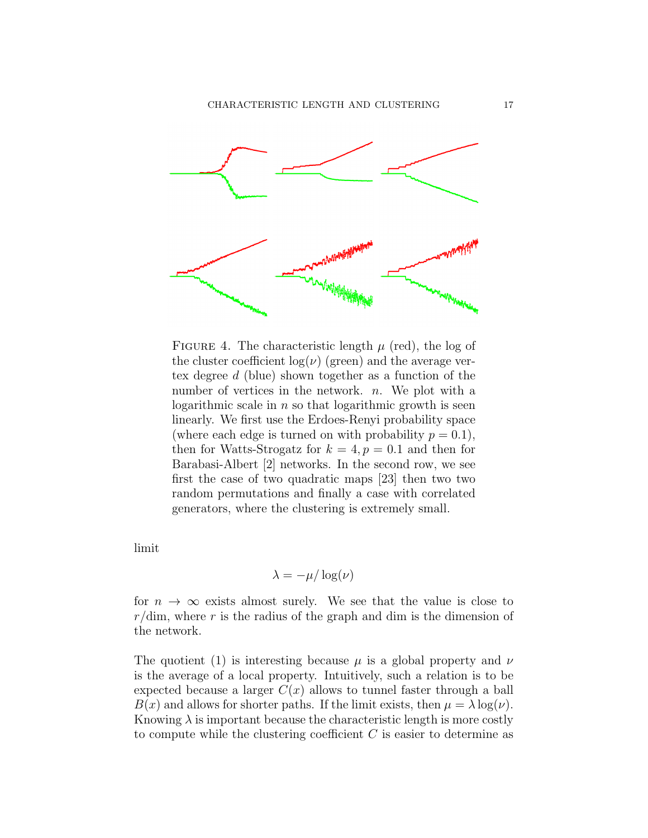

FIGURE 4. The characteristic length  $\mu$  (red), the log of the cluster coefficient  $log(\nu)$  (green) and the average vertex degree d (blue) shown together as a function of the number of vertices in the network.  $n$ . We plot with a logarithmic scale in  $n$  so that logarithmic growth is seen linearly. We first use the Erdoes-Renyi probability space (where each edge is turned on with probability  $p = 0.1$ ), then for Watts-Strogatz for  $k = 4, p = 0.1$  and then for Barabasi-Albert [2] networks. In the second row, we see first the case of two quadratic maps [23] then two two random permutations and finally a case with correlated generators, where the clustering is extremely small.

limit

$$
\lambda = -\mu/\log(\nu)
$$

for  $n \to \infty$  exists almost surely. We see that the value is close to  $r/\text{dim}$ , where r is the radius of the graph and dim is the dimension of the network.

The quotient (1) is interesting because  $\mu$  is a global property and  $\nu$ is the average of a local property. Intuitively, such a relation is to be expected because a larger  $C(x)$  allows to tunnel faster through a ball  $B(x)$  and allows for shorter paths. If the limit exists, then  $\mu = \lambda \log(\nu)$ . Knowing  $\lambda$  is important because the characteristic length is more costly to compute while the clustering coefficient  $C$  is easier to determine as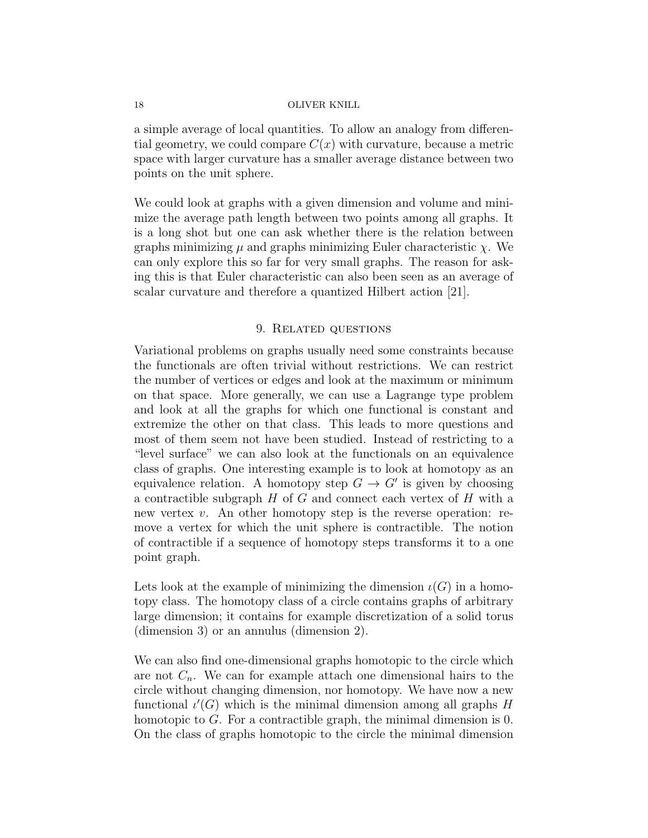a simple average of local quantities. To allow an analogy from differential geometry, we could compare  $C(x)$  with curvature, because a metric space with larger curvature has a smaller average distance between two points on the unit sphere.

We could look at graphs with a given dimension and volume and minimize the average path length between two points among all graphs. It is a long shot but one can ask whether there is the relation between graphs minimizing  $\mu$  and graphs minimizing Euler characteristic  $\chi$ . We can only explore this so far for very small graphs. The reason for asking this is that Euler characteristic can also been seen as an average of scalar curvature and therefore a quantized Hilbert action [21].

# 9. Related questions

Variational problems on graphs usually need some constraints because the functionals are often trivial without restrictions. We can restrict the number of vertices or edges and look at the maximum or minimum on that space. More generally, we can use a Lagrange type problem and look at all the graphs for which one functional is constant and extremize the other on that class. This leads to more questions and most of them seem not have been studied. Instead of restricting to a "level surface" we can also look at the functionals on an equivalence class of graphs. One interesting example is to look at homotopy as an equivalence relation. A homotopy step  $G \to G'$  is given by choosing a contractible subgraph  $H$  of  $G$  and connect each vertex of  $H$  with a new vertex  $v$ . An other homotopy step is the reverse operation: remove a vertex for which the unit sphere is contractible. The notion of contractible if a sequence of homotopy steps transforms it to a one point graph.

Lets look at the example of minimizing the dimension  $\iota(G)$  in a homotopy class. The homotopy class of a circle contains graphs of arbitrary large dimension; it contains for example discretization of a solid torus (dimension 3) or an annulus (dimension 2).

We can also find one-dimensional graphs homotopic to the circle which are not  $C_n$ . We can for example attach one dimensional hairs to the circle without changing dimension, nor homotopy. We have now a new functional  $\iota'(G)$  which is the minimal dimension among all graphs H homotopic to  $G$ . For a contractible graph, the minimal dimension is 0. On the class of graphs homotopic to the circle the minimal dimension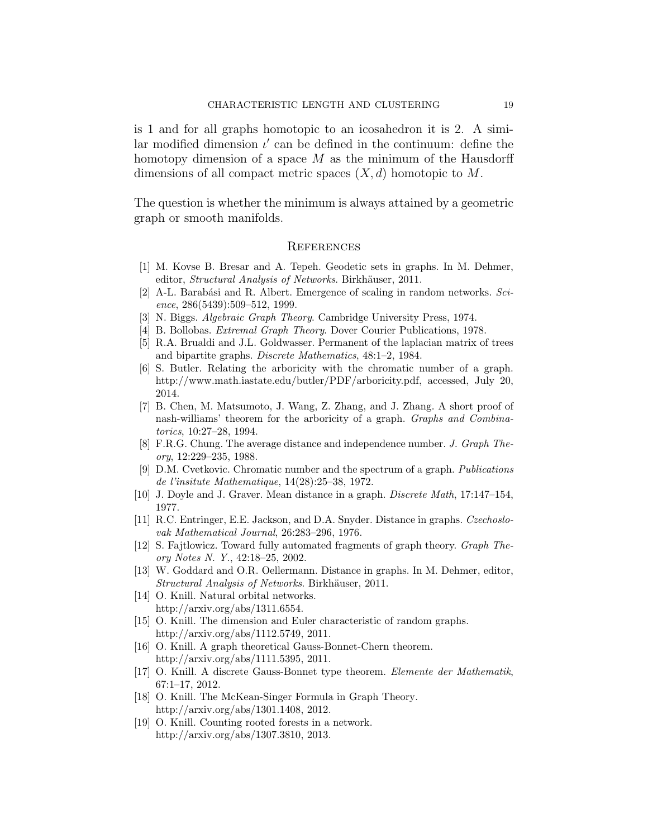is 1 and for all graphs homotopic to an icosahedron it is 2. A similar modified dimension  $\iota'$  can be defined in the continuum: define the homotopy dimension of a space  $M$  as the minimum of the Hausdorff dimensions of all compact metric spaces  $(X, d)$  homotopic to M.

The question is whether the minimum is always attained by a geometric graph or smooth manifolds.

## **REFERENCES**

- [1] M. Kovse B. Bresar and A. Tepeh. Geodetic sets in graphs. In M. Dehmer, editor, Structural Analysis of Networks. Birkhäuser, 2011.
- [2] A-L. Barabási and R. Albert. Emergence of scaling in random networks.  $Sci$ ence, 286(5439):509–512, 1999.
- [3] N. Biggs. Algebraic Graph Theory. Cambridge University Press, 1974.
- [4] B. Bollobas. *Extremal Graph Theory*. Dover Courier Publications, 1978.
- [5] R.A. Brualdi and J.L. Goldwasser. Permanent of the laplacian matrix of trees and bipartite graphs. Discrete Mathematics, 48:1–2, 1984.
- [6] S. Butler. Relating the arboricity with the chromatic number of a graph. http://www.math.iastate.edu/butler/PDF/arboricity.pdf, accessed, July 20, 2014.
- [7] B. Chen, M. Matsumoto, J. Wang, Z. Zhang, and J. Zhang. A short proof of nash-williams' theorem for the arboricity of a graph. Graphs and Combinatorics, 10:27–28, 1994.
- [8] F.R.G. Chung. The average distance and independence number. J. Graph Theory, 12:229–235, 1988.
- [9] D.M. Cvetkovic. Chromatic number and the spectrum of a graph. Publications de l'insitute Mathematique, 14(28):25–38, 1972.
- [10] J. Doyle and J. Graver. Mean distance in a graph. Discrete Math, 17:147–154, 1977.
- [11] R.C. Entringer, E.E. Jackson, and D.A. Snyder. Distance in graphs. Czechoslovak Mathematical Journal, 26:283–296, 1976.
- [12] S. Fajtlowicz. Toward fully automated fragments of graph theory. Graph Theory Notes N. Y., 42:18–25, 2002.
- [13] W. Goddard and O.R. Oellermann. Distance in graphs. In M. Dehmer, editor, Structural Analysis of Networks. Birkhäuser, 2011.
- [14] O. Knill. Natural orbital networks. http://arxiv.org/abs/1311.6554.
- [15] O. Knill. The dimension and Euler characteristic of random graphs. http://arxiv.org/abs/1112.5749, 2011.
- [16] O. Knill. A graph theoretical Gauss-Bonnet-Chern theorem. http://arxiv.org/abs/1111.5395, 2011.
- [17] O. Knill. A discrete Gauss-Bonnet type theorem. Elemente der Mathematik, 67:1–17, 2012.
- [18] O. Knill. The McKean-Singer Formula in Graph Theory. http://arxiv.org/abs/1301.1408, 2012.
- [19] O. Knill. Counting rooted forests in a network. http://arxiv.org/abs/1307.3810, 2013.